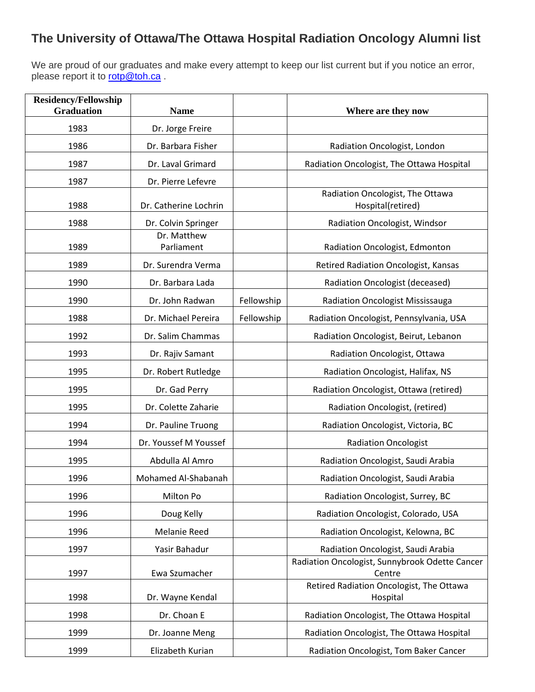## **The University of Ottawa/The Ottawa Hospital Radiation Oncology Alumni list**

We are proud of our graduates and make every attempt to keep our list current but if you notice an error, please report it to [rotp@toh.ca](mailto:rotp@toh.ca).

| <b>Residency/Fellowship</b><br><b>Graduation</b> | <b>Name</b>               |            | Where are they now                                       |
|--------------------------------------------------|---------------------------|------------|----------------------------------------------------------|
| 1983                                             | Dr. Jorge Freire          |            |                                                          |
| 1986                                             | Dr. Barbara Fisher        |            | Radiation Oncologist, London                             |
| 1987                                             | Dr. Laval Grimard         |            | Radiation Oncologist, The Ottawa Hospital                |
| 1987                                             | Dr. Pierre Lefevre        |            |                                                          |
| 1988                                             | Dr. Catherine Lochrin     |            | Radiation Oncologist, The Ottawa<br>Hospital(retired)    |
| 1988                                             | Dr. Colvin Springer       |            | Radiation Oncologist, Windsor                            |
| 1989                                             | Dr. Matthew<br>Parliament |            | Radiation Oncologist, Edmonton                           |
| 1989                                             | Dr. Surendra Verma        |            | Retired Radiation Oncologist, Kansas                     |
| 1990                                             | Dr. Barbara Lada          |            | Radiation Oncologist (deceased)                          |
| 1990                                             | Dr. John Radwan           | Fellowship | <b>Radiation Oncologist Mississauga</b>                  |
| 1988                                             | Dr. Michael Pereira       | Fellowship | Radiation Oncologist, Pennsylvania, USA                  |
| 1992                                             | Dr. Salim Chammas         |            | Radiation Oncologist, Beirut, Lebanon                    |
| 1993                                             | Dr. Rajiv Samant          |            | Radiation Oncologist, Ottawa                             |
| 1995                                             | Dr. Robert Rutledge       |            | Radiation Oncologist, Halifax, NS                        |
| 1995                                             | Dr. Gad Perry             |            | Radiation Oncologist, Ottawa (retired)                   |
| 1995                                             | Dr. Colette Zaharie       |            | Radiation Oncologist, (retired)                          |
| 1994                                             | Dr. Pauline Truong        |            | Radiation Oncologist, Victoria, BC                       |
| 1994                                             | Dr. Youssef M Youssef     |            | <b>Radiation Oncologist</b>                              |
| 1995                                             | Abdulla Al Amro           |            | Radiation Oncologist, Saudi Arabia                       |
| 1996                                             | Mohamed Al-Shabanah       |            | Radiation Oncologist, Saudi Arabia                       |
| 1996                                             | Milton Po                 |            | Radiation Oncologist, Surrey, BC                         |
| 1996                                             | Doug Kelly                |            | Radiation Oncologist, Colorado, USA                      |
| 1996                                             | Melanie Reed              |            | Radiation Oncologist, Kelowna, BC                        |
| 1997                                             | Yasir Bahadur             |            | Radiation Oncologist, Saudi Arabia                       |
| 1997                                             | Ewa Szumacher             |            | Radiation Oncologist, Sunnybrook Odette Cancer<br>Centre |
| 1998                                             | Dr. Wayne Kendal          |            | Retired Radiation Oncologist, The Ottawa<br>Hospital     |
| 1998                                             | Dr. Choan E               |            | Radiation Oncologist, The Ottawa Hospital                |
| 1999                                             | Dr. Joanne Meng           |            | Radiation Oncologist, The Ottawa Hospital                |
| 1999                                             | Elizabeth Kurian          |            | Radiation Oncologist, Tom Baker Cancer                   |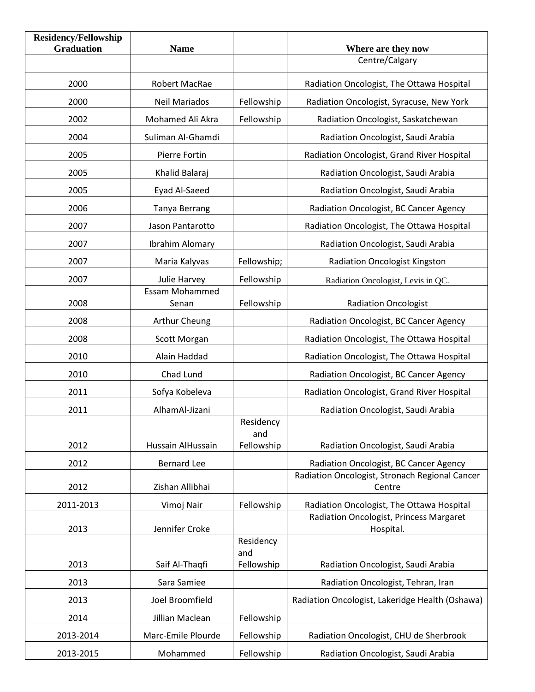| <b>Residency/Fellowship</b><br><b>Graduation</b> | <b>Name</b>                    |                                | Where are they now                                       |
|--------------------------------------------------|--------------------------------|--------------------------------|----------------------------------------------------------|
|                                                  |                                |                                | Centre/Calgary                                           |
| 2000                                             | Robert MacRae                  |                                | Radiation Oncologist, The Ottawa Hospital                |
| 2000                                             | <b>Neil Mariados</b>           | Fellowship                     | Radiation Oncologist, Syracuse, New York                 |
| 2002                                             | Mohamed Ali Akra               | Fellowship                     | Radiation Oncologist, Saskatchewan                       |
| 2004                                             | Suliman Al-Ghamdi              |                                | Radiation Oncologist, Saudi Arabia                       |
| 2005                                             | Pierre Fortin                  |                                | Radiation Oncologist, Grand River Hospital               |
| 2005                                             | Khalid Balaraj                 |                                | Radiation Oncologist, Saudi Arabia                       |
| 2005                                             | Eyad Al-Saeed                  |                                | Radiation Oncologist, Saudi Arabia                       |
| 2006                                             | <b>Tanya Berrang</b>           |                                | Radiation Oncologist, BC Cancer Agency                   |
| 2007                                             | Jason Pantarotto               |                                | Radiation Oncologist, The Ottawa Hospital                |
| 2007                                             | Ibrahim Alomary                |                                | Radiation Oncologist, Saudi Arabia                       |
| 2007                                             | Maria Kalyvas                  | Fellowship;                    | <b>Radiation Oncologist Kingston</b>                     |
| 2007                                             | Julie Harvey                   | Fellowship                     | Radiation Oncologist, Levis in QC.                       |
| 2008                                             | <b>Essam Mohammed</b><br>Senan | Fellowship                     | <b>Radiation Oncologist</b>                              |
| 2008                                             | Arthur Cheung                  |                                | Radiation Oncologist, BC Cancer Agency                   |
| 2008                                             | Scott Morgan                   |                                | Radiation Oncologist, The Ottawa Hospital                |
| 2010                                             | Alain Haddad                   |                                | Radiation Oncologist, The Ottawa Hospital                |
| 2010                                             | Chad Lund                      |                                | Radiation Oncologist, BC Cancer Agency                   |
| 2011                                             | Sofya Kobeleva                 |                                | Radiation Oncologist, Grand River Hospital               |
| 2011                                             | AlhamAl-Jizani                 |                                | Radiation Oncologist, Saudi Arabia                       |
| 2012                                             | Hussain AlHussain              | Residency<br>and<br>Fellowship | Radiation Oncologist, Saudi Arabia                       |
| 2012                                             | <b>Bernard Lee</b>             |                                | Radiation Oncologist, BC Cancer Agency                   |
| 2012                                             | Zishan Allibhai                |                                | Radiation Oncologist, Stronach Regional Cancer<br>Centre |
| 2011-2013                                        | Vimoj Nair                     | Fellowship                     | Radiation Oncologist, The Ottawa Hospital                |
| 2013                                             | Jennifer Croke                 |                                | Radiation Oncologist, Princess Margaret<br>Hospital.     |
|                                                  |                                | Residency<br>and               |                                                          |
| 2013                                             | Saif Al-Thaqfi                 | Fellowship                     | Radiation Oncologist, Saudi Arabia                       |
| 2013                                             | Sara Samiee                    |                                | Radiation Oncologist, Tehran, Iran                       |
| 2013                                             | Joel Broomfield                |                                | Radiation Oncologist, Lakeridge Health (Oshawa)          |
| 2014                                             | Jillian Maclean                | Fellowship                     |                                                          |
| 2013-2014                                        | Marc-Emile Plourde             | Fellowship                     | Radiation Oncologist, CHU de Sherbrook                   |
| 2013-2015                                        | Mohammed                       | Fellowship                     | Radiation Oncologist, Saudi Arabia                       |